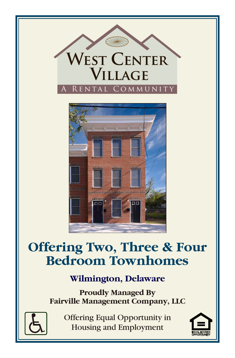

**Proudly Managed By Fairville Management Company, LLC**



Offering Equal Opportunity in Housing and Employment

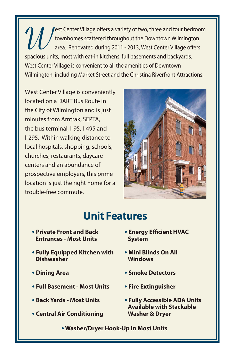**W**est Center Village offers a variety of two, three and four bedroom townhomes scattered throughout the Downtown Wilmington area. Renovated during 2011 - 2013, West Center Village offers spacious units, most with eat-in kitchens, full basements and backyards. West Center Village is convenient to all the amenities of Downtown Wilmington, including Market Street and the Christina Riverfront Attractions.

West Center Village is conveniently located on a DART Bus Route in the City of Wilmington and is just minutes from Amtrak, SEPTA, the bus terminal, I-95, I-495 and I-295. Within walking distance to local hospitals, shopping, schools, churches, restaurants, daycare centers and an abundance of prospective employers, this prime location is just the right home for a trouble-free commute.



## **Unit Features**

- **• Private Front and Back Entrances - Most Units**
- **• Fully Equipped Kitchen with Dishwasher**
- **• Dining Area**
- **• Full Basement Most Units**
- **• Back Yards Most Units**
- **• Central Air Conditioning**
- **• Energy Efficient HVAC System**
- **• Mini Blinds On All Windows**
- **• Smoke Detectors**
- **• Fire Extinguisher**
- **• Fully Accessible ADA Units Available with Stackable Washer & Dryer**
- **• Washer/Dryer Hook-Up In Most Units**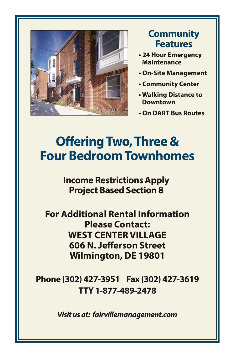

## **Community Features**

- **24 Hour Emergency Maintenance**
- **On-Site Management**
- **Community Center**
- **Walking Distance to Downtown**
- **On DART Bus Routes**

## **Offering Two, Three & Four Bedroom Townhomes**

**Income Restrictions Apply Project Based Section 8**

**For Additional Rental Information Please Contact: WEST CENTER VILLAGE 606 N. Jefferson Street Wilmington, DE 19801**

**Phone (302) 427-3951 Fax (302) 427-3619 TTY 1-877-489-2478**

*Visit us at: fairvillemanagement.com*